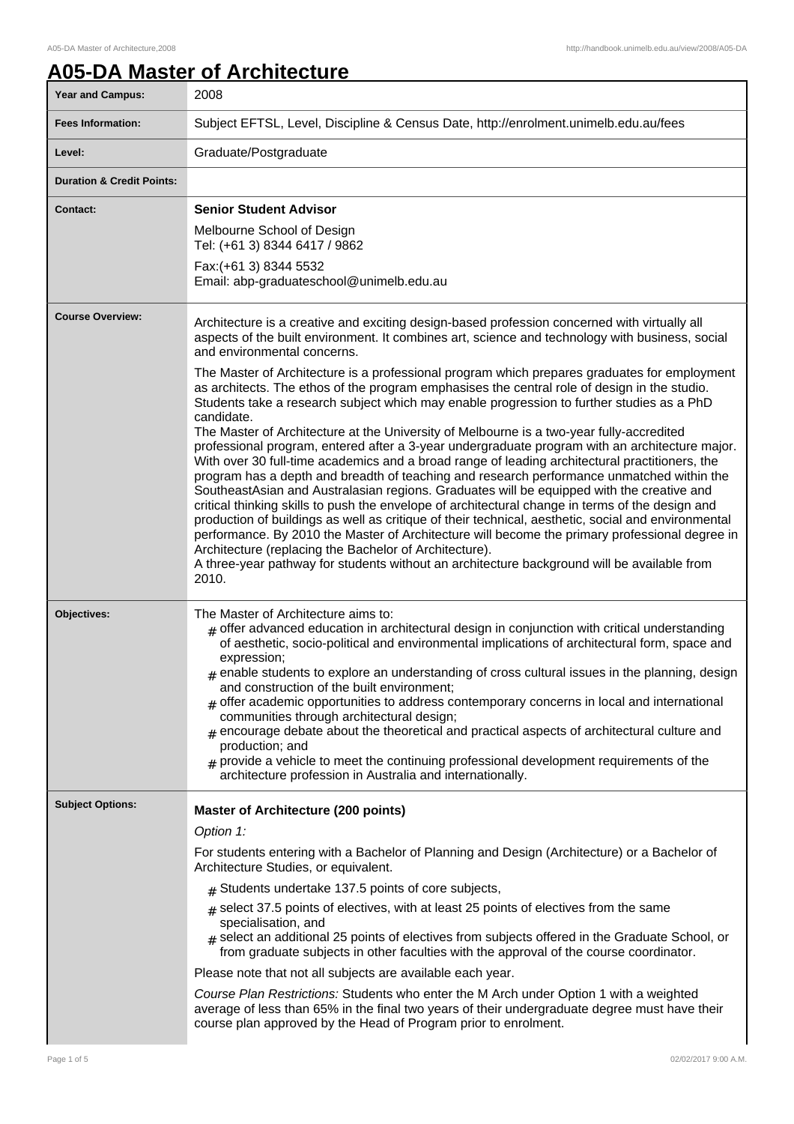1

# **A05-DA Master of Architecture**

| <b>Year and Campus:</b>              | 2008                                                                                                                                                                                                                                                                                                                                                                                                                                                                                                                                                                                                                                                                                                                                                                                                                                                                                                                                                                                                                                                                                                                                                                                                                                                                             |
|--------------------------------------|----------------------------------------------------------------------------------------------------------------------------------------------------------------------------------------------------------------------------------------------------------------------------------------------------------------------------------------------------------------------------------------------------------------------------------------------------------------------------------------------------------------------------------------------------------------------------------------------------------------------------------------------------------------------------------------------------------------------------------------------------------------------------------------------------------------------------------------------------------------------------------------------------------------------------------------------------------------------------------------------------------------------------------------------------------------------------------------------------------------------------------------------------------------------------------------------------------------------------------------------------------------------------------|
| <b>Fees Information:</b>             | Subject EFTSL, Level, Discipline & Census Date, http://enrolment.unimelb.edu.au/fees                                                                                                                                                                                                                                                                                                                                                                                                                                                                                                                                                                                                                                                                                                                                                                                                                                                                                                                                                                                                                                                                                                                                                                                             |
| Level:                               | Graduate/Postgraduate                                                                                                                                                                                                                                                                                                                                                                                                                                                                                                                                                                                                                                                                                                                                                                                                                                                                                                                                                                                                                                                                                                                                                                                                                                                            |
| <b>Duration &amp; Credit Points:</b> |                                                                                                                                                                                                                                                                                                                                                                                                                                                                                                                                                                                                                                                                                                                                                                                                                                                                                                                                                                                                                                                                                                                                                                                                                                                                                  |
| <b>Contact:</b>                      | <b>Senior Student Advisor</b>                                                                                                                                                                                                                                                                                                                                                                                                                                                                                                                                                                                                                                                                                                                                                                                                                                                                                                                                                                                                                                                                                                                                                                                                                                                    |
|                                      | Melbourne School of Design<br>Tel: (+61 3) 8344 6417 / 9862                                                                                                                                                                                                                                                                                                                                                                                                                                                                                                                                                                                                                                                                                                                                                                                                                                                                                                                                                                                                                                                                                                                                                                                                                      |
|                                      | Fax: (+61 3) 8344 5532<br>Email: abp-graduateschool@unimelb.edu.au                                                                                                                                                                                                                                                                                                                                                                                                                                                                                                                                                                                                                                                                                                                                                                                                                                                                                                                                                                                                                                                                                                                                                                                                               |
| <b>Course Overview:</b>              | Architecture is a creative and exciting design-based profession concerned with virtually all<br>aspects of the built environment. It combines art, science and technology with business, social<br>and environmental concerns.                                                                                                                                                                                                                                                                                                                                                                                                                                                                                                                                                                                                                                                                                                                                                                                                                                                                                                                                                                                                                                                   |
|                                      | The Master of Architecture is a professional program which prepares graduates for employment<br>as architects. The ethos of the program emphasises the central role of design in the studio.<br>Students take a research subject which may enable progression to further studies as a PhD<br>candidate.<br>The Master of Architecture at the University of Melbourne is a two-year fully-accredited<br>professional program, entered after a 3-year undergraduate program with an architecture major.<br>With over 30 full-time academics and a broad range of leading architectural practitioners, the<br>program has a depth and breadth of teaching and research performance unmatched within the<br>SoutheastAsian and Australasian regions. Graduates will be equipped with the creative and<br>critical thinking skills to push the envelope of architectural change in terms of the design and<br>production of buildings as well as critique of their technical, aesthetic, social and environmental<br>performance. By 2010 the Master of Architecture will become the primary professional degree in<br>Architecture (replacing the Bachelor of Architecture).<br>A three-year pathway for students without an architecture background will be available from<br>2010. |
| <b>Objectives:</b>                   | The Master of Architecture aims to:<br>$#$ offer advanced education in architectural design in conjunction with critical understanding<br>of aesthetic, socio-political and environmental implications of architectural form, space and<br>expression;<br>$_{\text{\#}}$ enable students to explore an understanding of cross cultural issues in the planning, design<br>and construction of the built environment;<br>$#$ offer academic opportunities to address contemporary concerns in local and international<br>communities through architectural design;<br>$_{\#}$ encourage debate about the theoretical and practical aspects of architectural culture and<br>production; and<br>$#$ provide a vehicle to meet the continuing professional development requirements of the<br>architecture profession in Australia and internationally.                                                                                                                                                                                                                                                                                                                                                                                                                               |
| <b>Subject Options:</b>              | <b>Master of Architecture (200 points)</b>                                                                                                                                                                                                                                                                                                                                                                                                                                                                                                                                                                                                                                                                                                                                                                                                                                                                                                                                                                                                                                                                                                                                                                                                                                       |
|                                      | Option 1:                                                                                                                                                                                                                                                                                                                                                                                                                                                                                                                                                                                                                                                                                                                                                                                                                                                                                                                                                                                                                                                                                                                                                                                                                                                                        |
|                                      | For students entering with a Bachelor of Planning and Design (Architecture) or a Bachelor of<br>Architecture Studies, or equivalent.                                                                                                                                                                                                                                                                                                                                                                                                                                                                                                                                                                                                                                                                                                                                                                                                                                                                                                                                                                                                                                                                                                                                             |
|                                      | $_{\#}$ Students undertake 137.5 points of core subjects,                                                                                                                                                                                                                                                                                                                                                                                                                                                                                                                                                                                                                                                                                                                                                                                                                                                                                                                                                                                                                                                                                                                                                                                                                        |
|                                      | $_{\text{#}}$ select 37.5 points of electives, with at least 25 points of electives from the same<br>specialisation, and                                                                                                                                                                                                                                                                                                                                                                                                                                                                                                                                                                                                                                                                                                                                                                                                                                                                                                                                                                                                                                                                                                                                                         |
|                                      | $#$ select an additional 25 points of electives from subjects offered in the Graduate School, or<br>from graduate subjects in other faculties with the approval of the course coordinator.                                                                                                                                                                                                                                                                                                                                                                                                                                                                                                                                                                                                                                                                                                                                                                                                                                                                                                                                                                                                                                                                                       |
|                                      | Please note that not all subjects are available each year.                                                                                                                                                                                                                                                                                                                                                                                                                                                                                                                                                                                                                                                                                                                                                                                                                                                                                                                                                                                                                                                                                                                                                                                                                       |
|                                      | Course Plan Restrictions: Students who enter the M Arch under Option 1 with a weighted<br>average of less than 65% in the final two years of their undergraduate degree must have their<br>course plan approved by the Head of Program prior to enrolment.                                                                                                                                                                                                                                                                                                                                                                                                                                                                                                                                                                                                                                                                                                                                                                                                                                                                                                                                                                                                                       |
|                                      |                                                                                                                                                                                                                                                                                                                                                                                                                                                                                                                                                                                                                                                                                                                                                                                                                                                                                                                                                                                                                                                                                                                                                                                                                                                                                  |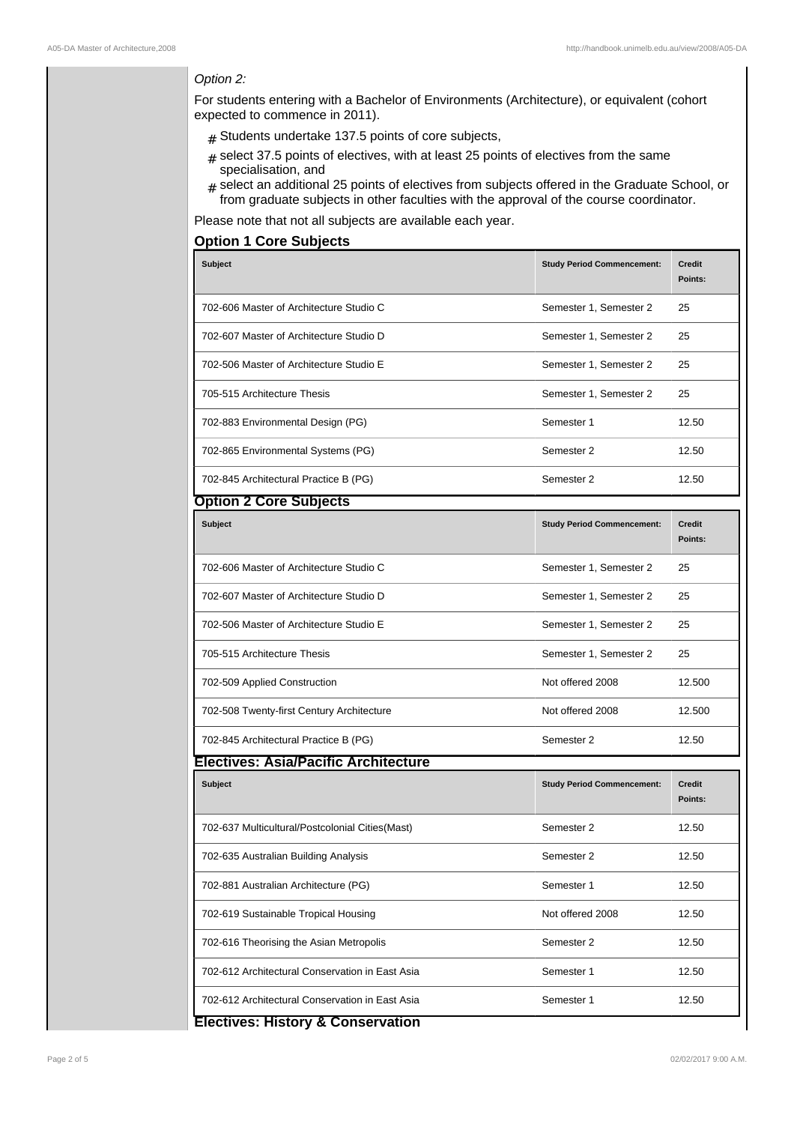## Option 2:

For students entering with a Bachelor of Environments (Architecture), or equivalent (cohort expected to commence in 2011).

- $#$  Students undertake 137.5 points of core subjects,
- $*$  select 37.5 points of electives, with at least 25 points of electives from the same specialisation, and
- # select an additional 25 points of electives from subjects offered in the Graduate School, or from graduate subjects in other faculties with the approval of the course coordinator.

Please note that not all subjects are available each year.

## **Option 1 Core Subjects**

| <b>Subject</b>                                  | <b>Study Period Commencement:</b> | <b>Credit</b><br>Points: |  |  |
|-------------------------------------------------|-----------------------------------|--------------------------|--|--|
| 702-606 Master of Architecture Studio C         | Semester 1, Semester 2            | 25                       |  |  |
| 702-607 Master of Architecture Studio D         | Semester 1, Semester 2            | 25                       |  |  |
| 702-506 Master of Architecture Studio E         | Semester 1, Semester 2            | 25                       |  |  |
| 705-515 Architecture Thesis                     | Semester 1, Semester 2            | 25                       |  |  |
| 702-883 Environmental Design (PG)               | Semester 1                        | 12.50                    |  |  |
| 702-865 Environmental Systems (PG)              | Semester 2                        | 12.50                    |  |  |
| 702-845 Architectural Practice B (PG)           | Semester 2                        | 12.50                    |  |  |
| <b>Option 2 Core Subjects</b>                   |                                   |                          |  |  |
| <b>Subject</b>                                  | <b>Study Period Commencement:</b> | <b>Credit</b><br>Points: |  |  |
| 702-606 Master of Architecture Studio C         | Semester 1, Semester 2            | 25                       |  |  |
| 702-607 Master of Architecture Studio D         | Semester 1, Semester 2            | 25                       |  |  |
| 702-506 Master of Architecture Studio E         | Semester 1, Semester 2            | 25                       |  |  |
| 705-515 Architecture Thesis                     | Semester 1, Semester 2            | 25                       |  |  |
| 702-509 Applied Construction                    | Not offered 2008                  | 12.500                   |  |  |
| 702-508 Twenty-first Century Architecture       | Not offered 2008                  | 12.500                   |  |  |
| 702-845 Architectural Practice B (PG)           | Semester 2                        | 12.50                    |  |  |
| <b>Electives: Asia/Pacific Architecture</b>     |                                   |                          |  |  |
| <b>Subject</b>                                  | <b>Study Period Commencement:</b> | <b>Credit</b><br>Points: |  |  |
| 702-637 Multicultural/Postcolonial Cities(Mast) | Semester 2                        | 12.50                    |  |  |
| 702-635 Australian Building Analysis            | Semester 2                        | 12.50                    |  |  |
| 702-881 Australian Architecture (PG)            | Semester 1                        | 12.50                    |  |  |
| 702-619 Sustainable Tropical Housing            | Not offered 2008                  | 12.50                    |  |  |
| 702-616 Theorising the Asian Metropolis         | Semester 2                        | 12.50                    |  |  |
| 702-612 Architectural Conservation in East Asia | Semester 1                        | 12.50                    |  |  |
| 702-612 Architectural Conservation in East Asia | Semester 1                        | 12.50                    |  |  |
| <b>Electives: History &amp; Conservation</b>    |                                   |                          |  |  |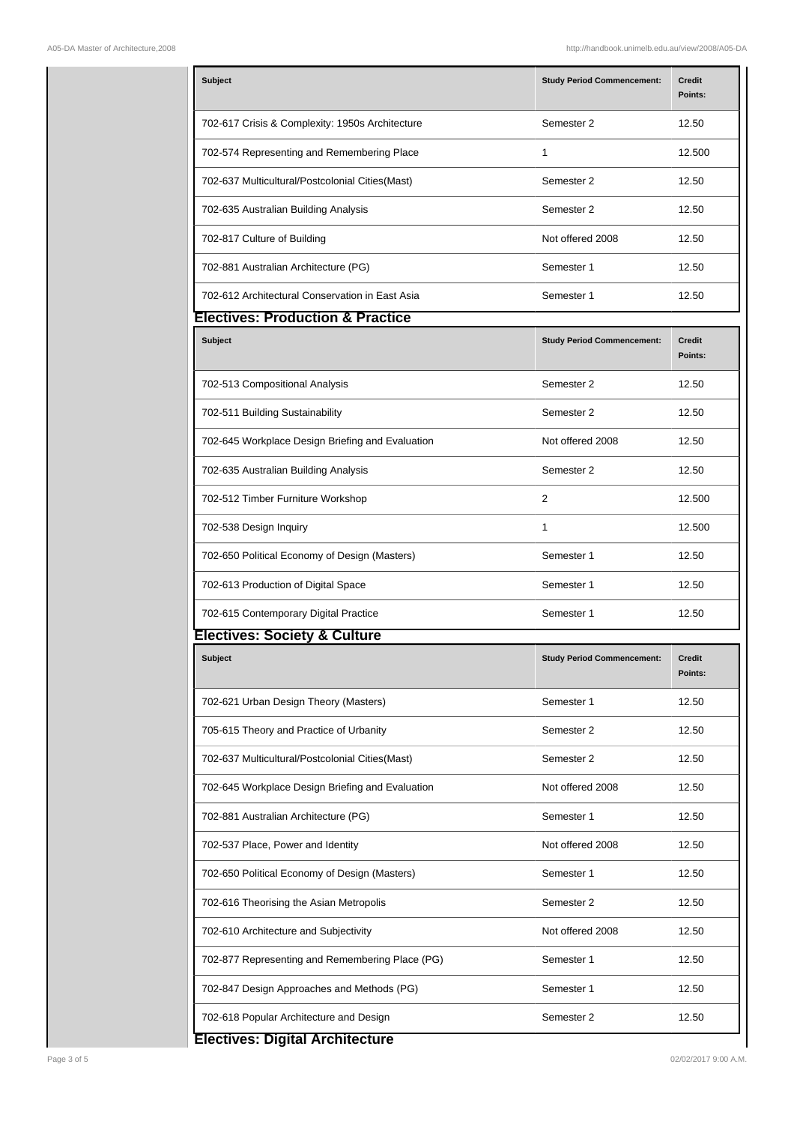| <b>Subject</b>                                   | <b>Study Period Commencement:</b> | <b>Credit</b><br>Points: |
|--------------------------------------------------|-----------------------------------|--------------------------|
| 702-617 Crisis & Complexity: 1950s Architecture  | Semester 2                        | 12.50                    |
| 702-574 Representing and Remembering Place       | 1                                 | 12.500                   |
| 702-637 Multicultural/Postcolonial Cities(Mast)  | Semester 2                        | 12.50                    |
| 702-635 Australian Building Analysis             | Semester 2                        | 12.50                    |
| 702-817 Culture of Building                      | Not offered 2008                  | 12.50                    |
| 702-881 Australian Architecture (PG)             | Semester 1                        | 12.50                    |
| 702-612 Architectural Conservation in East Asia  | Semester 1                        | 12.50                    |
| <b>Electives: Production &amp; Practice</b>      |                                   |                          |
| <b>Subject</b>                                   | <b>Study Period Commencement:</b> | <b>Credit</b><br>Points: |
| 702-513 Compositional Analysis                   | Semester 2                        | 12.50                    |
| 702-511 Building Sustainability                  | Semester 2                        | 12.50                    |
| 702-645 Workplace Design Briefing and Evaluation | Not offered 2008                  | 12.50                    |
| 702-635 Australian Building Analysis             | Semester 2                        | 12.50                    |
| 702-512 Timber Furniture Workshop                | $\overline{2}$                    | 12.500                   |
| 702-538 Design Inquiry                           | 1                                 | 12.500                   |
| 702-650 Political Economy of Design (Masters)    | Semester 1                        | 12.50                    |
| 702-613 Production of Digital Space              | Semester 1                        | 12.50                    |
| 702-615 Contemporary Digital Practice            | Semester 1                        | 12.50                    |
| <b>Electives: Society &amp; Culture</b>          |                                   |                          |
| <b>Subject</b>                                   | <b>Study Period Commencement:</b> | Credit<br>Points:        |
| 702-621 Urban Design Theory (Masters)            | Semester 1                        | 12.50                    |
| 705-615 Theory and Practice of Urbanity          | Semester 2                        | 12.50                    |
| 702-637 Multicultural/Postcolonial Cities(Mast)  | Semester 2                        | 12.50                    |
| 702-645 Workplace Design Briefing and Evaluation | Not offered 2008                  | 12.50                    |
| 702-881 Australian Architecture (PG)             | Semester 1                        | 12.50                    |
| 702-537 Place, Power and Identity                | Not offered 2008                  | 12.50                    |
| 702-650 Political Economy of Design (Masters)    | Semester 1                        | 12.50                    |
| 702-616 Theorising the Asian Metropolis          | Semester 2                        | 12.50                    |
| 702-610 Architecture and Subjectivity            | Not offered 2008                  | 12.50                    |
| 702-877 Representing and Remembering Place (PG)  | Semester 1                        | 12.50                    |
| 702-847 Design Approaches and Methods (PG)       | Semester 1                        | 12.50                    |
| 702-618 Popular Architecture and Design          | Semester 2                        | 12.50                    |
| an Binte Linux City                              |                                   |                          |

## **Electives: Digital Architecture**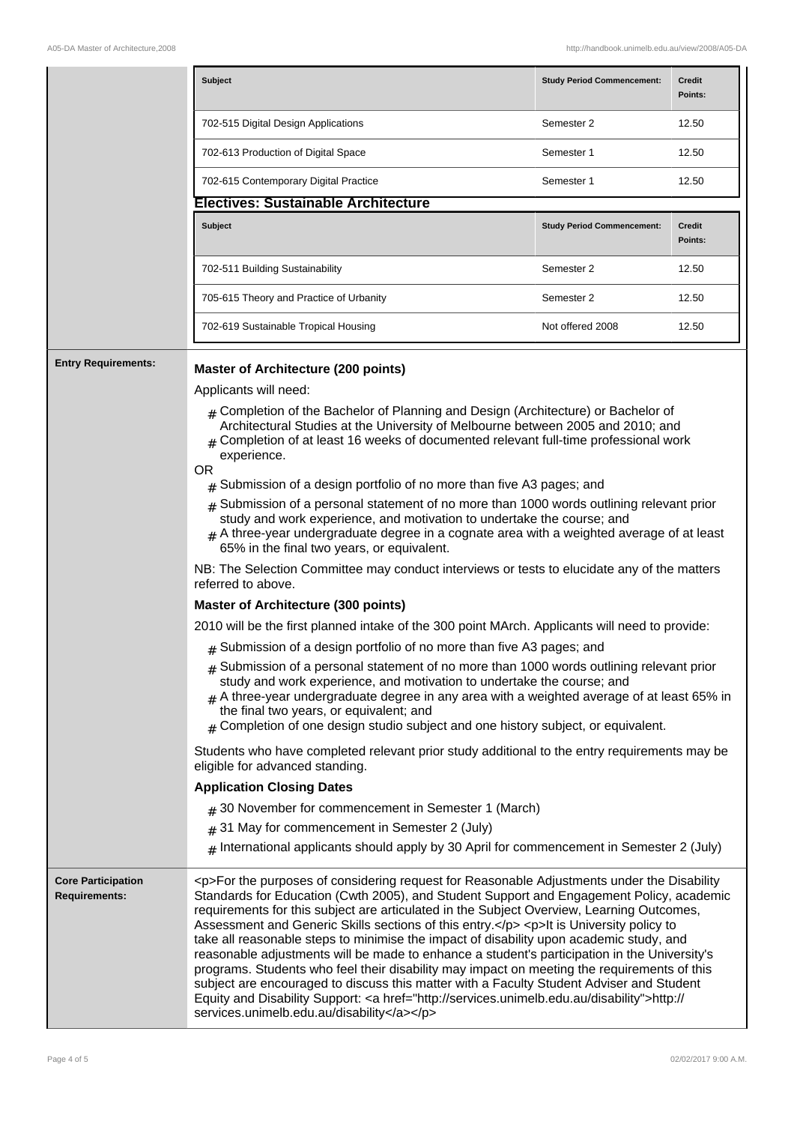|                            | <b>Subject</b>                             | <b>Study Period Commencement:</b> | <b>Credit</b><br>Points: |
|----------------------------|--------------------------------------------|-----------------------------------|--------------------------|
|                            | 702-515 Digital Design Applications        | Semester 2                        | 12.50                    |
|                            | 702-613 Production of Digital Space        | Semester 1                        | 12.50                    |
|                            | 702-615 Contemporary Digital Practice      | Semester 1                        | 12.50                    |
|                            | <b>Electives: Sustainable Architecture</b> |                                   |                          |
|                            | Subject                                    | <b>Study Period Commencement:</b> | Credit<br>Points:        |
|                            | 702-511 Building Sustainability            | Semester 2                        | 12.50                    |
|                            | 705-615 Theory and Practice of Urbanity    | Semester 2                        | 12.50                    |
|                            | 702-619 Sustainable Tropical Housing       | Not offered 2008                  | 12.50                    |
| <b>Entry Requirements:</b> | <b>Master of Architecture (200 points)</b> |                                   |                          |

Applicants will need:

- $#$  Completion of the Bachelor of Planning and Design (Architecture) or Bachelor of Architectural Studies at the University of Melbourne between 2005 and 2010; and
- $#$  Completion of at least 16 weeks of documented relevant full-time professional work experience.

#### OR

- $#$  Submission of a design portfolio of no more than five A3 pages; and
- $#$  Submission of a personal statement of no more than 1000 words outlining relevant prior study and work experience, and motivation to undertake the course; and
- $#$  A three-year undergraduate degree in a cognate area with a weighted average of at least 65% in the final two years, or equivalent.

NB: The Selection Committee may conduct interviews or tests to elucidate any of the matters referred to above.

## **Master of Architecture (300 points)**

2010 will be the first planned intake of the 300 point MArch. Applicants will need to provide:

- $#$  Submission of a design portfolio of no more than five A3 pages; and
- $#$  Submission of a personal statement of no more than 1000 words outlining relevant prior study and work experience, and motivation to undertake the course; and
- A three-year undergraduate degree in any area with a weighted average of at least 65% in the final two years, or equivalent; and
- Completion of one design studio subject and one history subject, or equivalent.

Students who have completed relevant prior study additional to the entry requirements may be eligible for advanced standing.

### **Application Closing Dates**

- $_{\rm \#}$  30 November for commencement in Semester 1 (March)
- $_{\rm \#}$  31 May for commencement in Semester 2 (July)
- $_\#$  International applicants should apply by 30 April for commencement in Semester 2 (July)

**Core Participation Requirements:** <p>For the purposes of considering request for Reasonable Adjustments under the Disability Standards for Education (Cwth 2005), and Student Support and Engagement Policy, academic requirements for this subject are articulated in the Subject Overview, Learning Outcomes, Assessment and Generic Skills sections of this entry.</p> <p>It is University policy to take all reasonable steps to minimise the impact of disability upon academic study, and reasonable adjustments will be made to enhance a student's participation in the University's programs. Students who feel their disability may impact on meeting the requirements of this subject are encouraged to discuss this matter with a Faculty Student Adviser and Student Equity and Disability Support: <a href="http://services.unimelb.edu.au/disability">http:// services.unimelb.edu.au/disability</a></p>